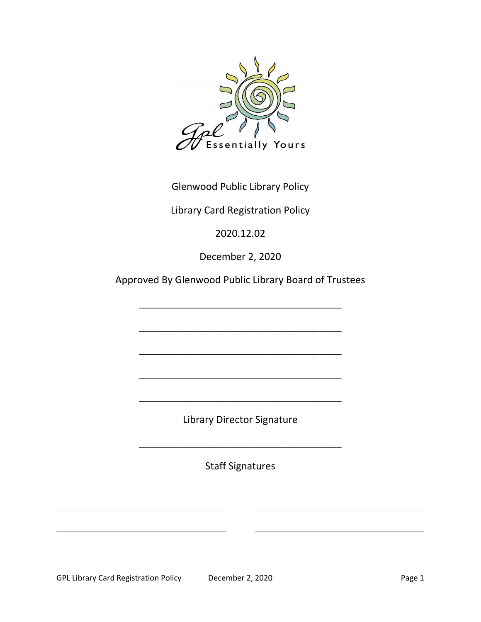

Glenwood Public Library Policy

Library Card Registration Policy

2020.12.02

December 2, 2020

Approved By Glenwood Public Library Board of Trustees

\_\_\_\_\_\_\_\_\_\_\_\_\_\_\_\_\_\_\_\_\_\_\_\_\_\_\_\_\_\_\_\_\_\_\_\_\_

\_\_\_\_\_\_\_\_\_\_\_\_\_\_\_\_\_\_\_\_\_\_\_\_\_\_\_\_\_\_\_\_\_\_\_\_\_

\_\_\_\_\_\_\_\_\_\_\_\_\_\_\_\_\_\_\_\_\_\_\_\_\_\_\_\_\_\_\_\_\_\_\_\_\_

\_\_\_\_\_\_\_\_\_\_\_\_\_\_\_\_\_\_\_\_\_\_\_\_\_\_\_\_\_\_\_\_\_\_\_\_\_

Library Director Signature

\_\_\_\_\_\_\_\_\_\_\_\_\_\_\_\_\_\_\_\_\_\_\_\_\_\_\_\_\_\_\_\_\_\_\_\_\_

\_\_\_\_\_\_\_\_\_\_\_\_\_\_\_\_\_\_\_\_\_\_\_\_\_\_\_\_\_\_\_\_\_\_\_\_\_

Staff Signatures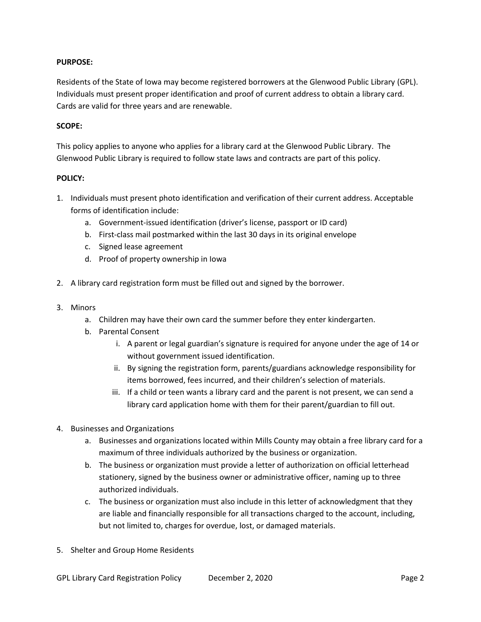## **PURPOSE:**

Residents of the State of Iowa may become registered borrowers at the Glenwood Public Library (GPL). Individuals must present proper identification and proof of current address to obtain a library card. Cards are valid for three years and are renewable.

## **SCOPE:**

This policy applies to anyone who applies for a library card at the Glenwood Public Library. The Glenwood Public Library is required to follow state laws and contracts are part of this policy.

## **POLICY:**

- 1. Individuals must present photo identification and verification of their current address. Acceptable forms of identification include:
	- a. Government-issued identification (driver's license, passport or ID card)
	- b. First-class mail postmarked within the last 30 days in its original envelope
	- c. Signed lease agreement
	- d. Proof of property ownership in Iowa
- 2. A library card registration form must be filled out and signed by the borrower.
- 3. Minors
	- a. Children may have their own card the summer before they enter kindergarten.
	- b. Parental Consent
		- i. A parent or legal guardian's signature is required for anyone under the age of 14 or without government issued identification.
		- ii. By signing the registration form, parents/guardians acknowledge responsibility for items borrowed, fees incurred, and their children's selection of materials.
		- iii. If a child or teen wants a library card and the parent is not present, we can send a library card application home with them for their parent/guardian to fill out.
- 4. Businesses and Organizations
	- a. Businesses and organizations located within Mills County may obtain a free library card for a maximum of three individuals authorized by the business or organization.
	- b. The business or organization must provide a letter of authorization on official letterhead stationery, signed by the business owner or administrative officer, naming up to three authorized individuals.
	- c. The business or organization must also include in this letter of acknowledgment that they are liable and financially responsible for all transactions charged to the account, including, but not limited to, charges for overdue, lost, or damaged materials.
- 5. Shelter and Group Home Residents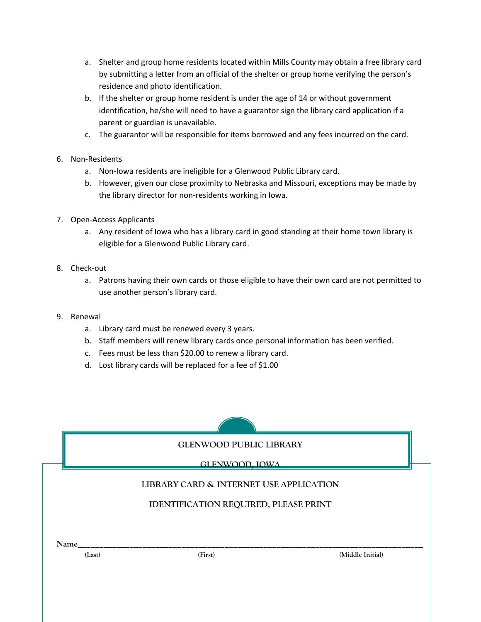- a. Shelter and group home residents located within Mills County may obtain a free library card by submitting a letter from an official of the shelter or group home verifying the person's residence and photo identification.
- b. If the shelter or group home resident is under the age of 14 or without government identification, he/she will need to have a guarantor sign the library card application if a parent or guardian is unavailable.
- c. The guarantor will be responsible for items borrowed and any fees incurred on the card.
- 6. Non-Residents
	- a. Non-Iowa residents are ineligible for a Glenwood Public Library card.
	- b. However, given our close proximity to Nebraska and Missouri, exceptions may be made by the library director for non-residents working in Iowa.
- 7. Open-Access Applicants
	- a. Any resident of Iowa who has a library card in good standing at their home town library is eligible for a Glenwood Public Library card.
- 8. Check-out
	- a. Patrons having their own cards or those eligible to have their own card are not permitted to use another person's library card.
- 9. Renewal
	- a. Library card must be renewed every 3 years.
	- b. Staff members will renew library cards once personal information has been verified.
	- c. Fees must be less than \$20.00 to renew a library card.
	- d. Lost library cards will be replaced for a fee of \$1.00

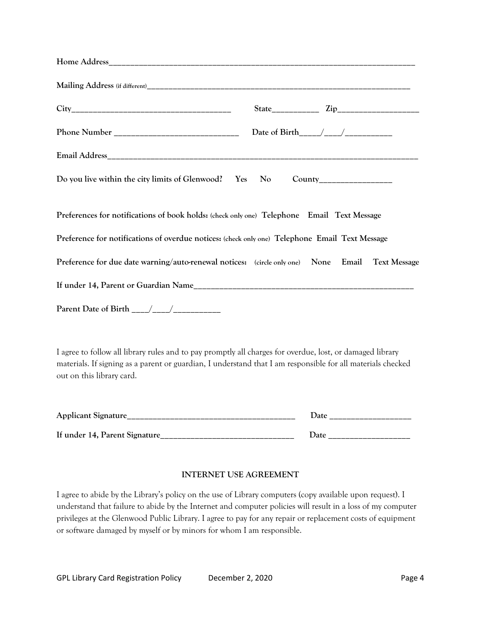| Do you live within the city limits of Glenwood? Yes No County___________________                |  |  |
|-------------------------------------------------------------------------------------------------|--|--|
| Preferences for notifications of book holds: (check only one) Telephone Email Text Message      |  |  |
| Preference for notifications of overdue notices: (check only one) Telephone Email Text Message  |  |  |
| Preference for due date warning/auto-renewal notices: (circle only one) None Email Text Message |  |  |
|                                                                                                 |  |  |
|                                                                                                 |  |  |
|                                                                                                 |  |  |

I agree to follow all library rules and to pay promptly all charges for overdue, lost, or damaged library materials. If signing as a parent or guardian, I understand that I am responsible for all materials checked out on this library card.

| <b>Applicant Signature</b>    | )ate        |
|-------------------------------|-------------|
| If under 14, Parent Signature | <b>Date</b> |

## **INTERNET USE AGREEMENT**

I agree to abide by the Library's policy on the use of Library computers (copy available upon request). I understand that failure to abide by the Internet and computer policies will result in a loss of my computer privileges at the Glenwood Public Library. I agree to pay for any repair or replacement costs of equipment or software damaged by myself or by minors for whom I am responsible.